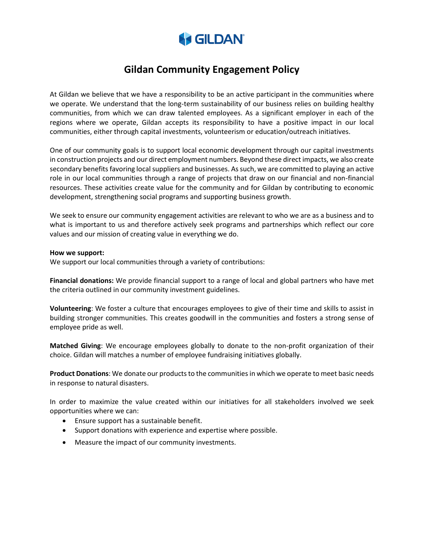

# **Gildan Community Engagement Policy**

At Gildan we believe that we have a responsibility to be an active participant in the communities where we operate. We understand that the long-term sustainability of our business relies on building healthy communities, from which we can draw talented employees. As a significant employer in each of the regions where we operate, Gildan accepts its responsibility to have a positive impact in our local communities, either through capital investments, volunteerism or education/outreach initiatives.

One of our community goals is to support local economic development through our capital investments in construction projects and our direct employment numbers. Beyond these direct impacts, we also create secondary benefits favoring local suppliers and businesses. As such, we are committed to playing an active role in our local communities through a range of projects that draw on our financial and non-financial resources. These activities create value for the community and for Gildan by contributing to economic development, strengthening social programs and supporting business growth.

We seek to ensure our community engagement activities are relevant to who we are as a business and to what is important to us and therefore actively seek programs and partnerships which reflect our core values and our mission of creating value in everything we do.

#### **How we support:**

We support our local communities through a variety of contributions:

**Financial donations:** We provide financial support to a range of local and global partners who have met the criteria outlined in our community investment guidelines.

**Volunteering**: We foster a culture that encourages employees to give of their time and skills to assist in building stronger communities. This creates goodwill in the communities and fosters a strong sense of employee pride as well.

**Matched Giving**: We encourage employees globally to donate to the non-profit organization of their choice. Gildan will matches a number of employee fundraising initiatives globally.

**Product Donations**: We donate our products to the communities in which we operate to meet basic needs in response to natural disasters.

In order to maximize the value created within our initiatives for all stakeholders involved we seek opportunities where we can:

- Ensure support has a sustainable benefit.
- Support donations with experience and expertise where possible.
- Measure the impact of our community investments.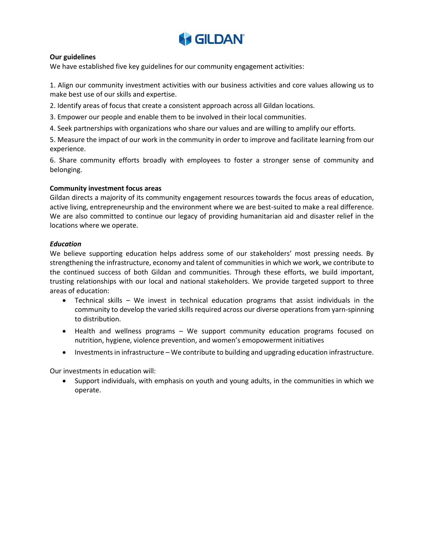

## **Our guidelines**

We have established five key guidelines for our community engagement activities:

1. Align our community investment activities with our business activities and core values allowing us to make best use of our skills and expertise.

2. Identify areas of focus that create a consistent approach across all Gildan locations.

3. Empower our people and enable them to be involved in their local communities.

4. Seek partnerships with organizations who share our values and are willing to amplify our efforts.

5. Measure the impact of our work in the community in order to improve and facilitate learning from our experience.

6. Share community efforts broadly with employees to foster a stronger sense of community and belonging.

### **Community investment focus areas**

Gildan directs a majority of its community engagement resources towards the focus areas of education, active living, entrepreneurship and the environment where we are best-suited to make a real difference. We are also committed to continue our legacy of providing humanitarian aid and disaster relief in the locations where we operate.

### *Education*

We believe supporting education helps address some of our stakeholders' most pressing needs. By strengthening the infrastructure, economy and talent of communities in which we work, we contribute to the continued success of both Gildan and communities. Through these efforts, we build important, trusting relationships with our local and national stakeholders. We provide targeted support to three areas of education:

- Technical skills We invest in technical education programs that assist individuals in the community to develop the varied skills required across our diverse operations from yarn-spinning to distribution.
- Health and wellness programs We support community education programs focused on nutrition, hygiene, violence prevention, and women's emopowerment initiatives
- Investments in infrastructure We contribute to building and upgrading education infrastructure.

Our investments in education will:

• Support individuals, with emphasis on youth and young adults, in the communities in which we operate.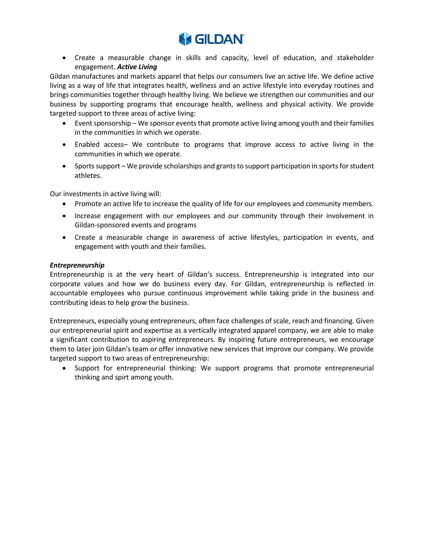

• Create a measurable change in skills and capacity, level of education, and stakeholder engagement. *Active Living* 

Gildan manufactures and markets apparel that helps our consumers live an active life. We define active living as a way of life that integrates health, wellness and an active lifestyle into everyday routines and brings communities together through healthy living. We believe we strengthen our communities and our business by supporting programs that encourage health, wellness and physical activity. We provide targeted support to three areas of active living:

- Event sponsorship We sponsor events that promote active living among youth and their families in the communities in which we operate.
- Enabled access– We contribute to programs that improve access to active living in the communities in which we operate.
- Sports support We provide scholarships and grants to support participation in sports for student athletes.

Our investments in active living will:

- Promote an active life to increase the quality of life for our employees and community members.
- Increase engagement with our employees and our community through their involvement in Gildan-sponsored events and programs
- Create a measurable change in awareness of active lifestyles, participation in events, and engagement with youth and their families.

### *Entrepreneurship*

Entrepreneurship is at the very heart of Gildan's success. Entrepreneurship is integrated into our corporate values and how we do business every day. For Gildan, entrepreneurship is reflected in accountable employees who pursue continuous improvement while taking pride in the business and contributing ideas to help grow the business.

Entrepreneurs, especially young entrepreneurs, often face challenges of scale, reach and financing. Given our entrepreneurial spirit and expertise as a vertically integrated apparel company, we are able to make a significant contribution to aspiring entrepreneurs. By inspiring future entrepreneurs, we encourage them to later join Gildan's team or offer innovative new services that improve our company. We provide targeted support to two areas of entrepreneurship:

• Support for entrepreneurial thinking: We support programs that promote entrepreneurial thinking and spirt among youth.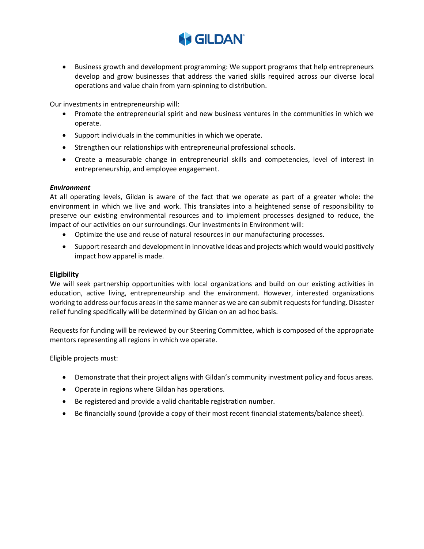

• Business growth and development programming: We support programs that help entrepreneurs develop and grow businesses that address the varied skills required across our diverse local operations and value chain from yarn-spinning to distribution.

Our investments in entrepreneurship will:

- Promote the entrepreneurial spirit and new business ventures in the communities in which we operate.
- Support individuals in the communities in which we operate.
- Strengthen our relationships with entrepreneurial professional schools.
- Create a measurable change in entrepreneurial skills and competencies, level of interest in entrepreneurship, and employee engagement.

### *Environment*

At all operating levels, Gildan is aware of the fact that we operate as part of a greater whole: the environment in which we live and work. This translates into a heightened sense of responsibility to preserve our existing environmental resources and to implement processes designed to reduce, the impact of our activities on our surroundings. Our investments in Environment will:

- Optimize the use and reuse of natural resources in our manufacturing processes.
- Support research and development in innovative ideas and projects which would would positively impact how apparel is made.

#### **Eligibility**

We will seek partnership opportunities with local organizations and build on our existing activities in education, active living, entrepreneurship and the environment. However, interested organizations working to address our focus areas in the same manner as we are can submit requests for funding. Disaster relief funding specifically will be determined by Gildan on an ad hoc basis.

Requests for funding will be reviewed by our Steering Committee, which is composed of the appropriate mentors representing all regions in which we operate.

Eligible projects must:

- Demonstrate that their project aligns with Gildan's community investment policy and focus areas.
- Operate in regions where Gildan has operations.
- Be registered and provide a valid charitable registration number.
- Be financially sound (provide a copy of their most recent financial statements/balance sheet).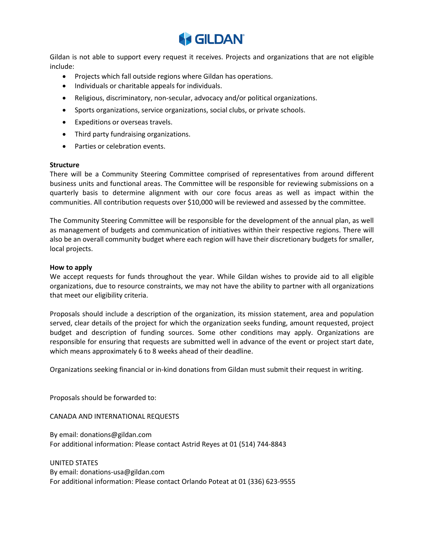

Gildan is not able to support every request it receives. Projects and organizations that are not eligible include:

- Projects which fall outside regions where Gildan has operations.
- Individuals or charitable appeals for individuals.
- Religious, discriminatory, non-secular, advocacy and/or political organizations.
- Sports organizations, service organizations, social clubs, or private schools.
- Expeditions or overseas travels.
- Third party fundraising organizations.
- Parties or celebration events.

### **Structure**

There will be a Community Steering Committee comprised of representatives from around different business units and functional areas. The Committee will be responsible for reviewing submissions on a quarterly basis to determine alignment with our core focus areas as well as impact within the communities. All contribution requests over \$10,000 will be reviewed and assessed by the committee.

The Community Steering Committee will be responsible for the development of the annual plan, as well as management of budgets and communication of initiatives within their respective regions. There will also be an overall community budget where each region will have their discretionary budgets for smaller, local projects.

### **How to apply**

We accept requests for funds throughout the year. While Gildan wishes to provide aid to all eligible organizations, due to resource constraints, we may not have the ability to partner with all organizations that meet our eligibility criteria.

Proposals should include a description of the organization, its mission statement, area and population served, clear details of the project for which the organization seeks funding, amount requested, project budget and description of funding sources. Some other conditions may apply. Organizations are responsible for ensuring that requests are submitted well in advance of the event or project start date, which means approximately 6 to 8 weeks ahead of their deadline.

Organizations seeking financial or in-kind donations from Gildan must submit their request in writing.

Proposals should be forwarded to:

CANADA AND INTERNATIONAL REQUESTS

By email: donations@gildan.com For additional information: Please contact Astrid Reyes at 01 (514) 744-8843

UNITED STATES

By email: donations-usa@gildan.com For additional information: Please contact Orlando Poteat at 01 (336) 623-9555